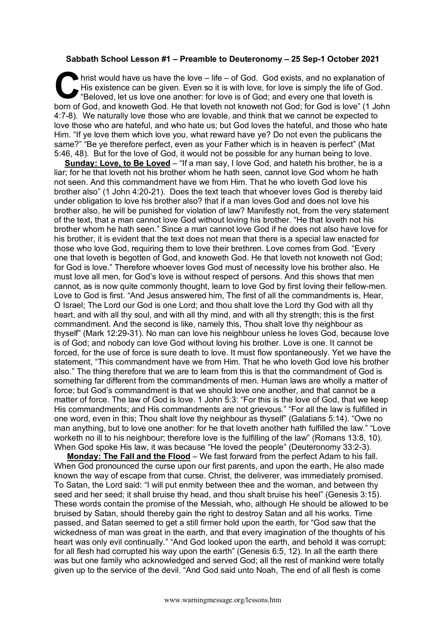## **Sabbath School Lesson #1 – Preamble to Deuteronomy – 25 Sep-1 October 2021**

hrist would have us have the love – life – of God. God exists, and no explanation of His existence can be given. Even so it is with love, for love is simply the life of God. "Beloved, let us love one another: for love is of God; and every one that loveth is born of God, and knoweth God. He that loveth not knoweth not God; for God is love" (1 John 4:7-8). We naturally love those who are lovable, and think that we cannot be expected to love those who are hateful, and who hate us; but God loves the hateful, and those who hate Him. "If ye love them which love you, what reward have ye? Do not even the publicans the same?" "Be ye therefore perfect, even as your Father which is in heaven is perfect" (Mat 5:46, 48). But for the love of God, it would not be possible for any human being to love. C His

**Sunday: Love, to Be Loved** – "If a man say, I love God, and hateth his brother, he is a liar; for he that loveth not his brother whom he hath seen, cannot love God whom he hath not seen. And this commandment have we from Him. That he who loveth God love his brother also" (1 John 4:20-21). Does the text teach that whoever loves God is thereby laid under obligation to love his brother also? that if a man loves God and does not love his brother also, he will be punished for violation of law? Manifestly not, from the very statement of the text, that a man cannot love God without loving his brother. "He that loveth not his brother whom he hath seen." Since a man cannot love God if he does not also have love for his brother, it is evident that the text does not mean that there is a special law enacted for those who love God, requiring them to love their brethren. Love comes from God. "Every one that loveth is begotten of God, and knoweth God. He that loveth not knoweth not God; for God is love." Therefore whoever loves God must of necessity love his brother also. He must love all men, for God's love is without respect of persons. And this shows that men cannot, as is now quite commonly thought, learn to love God by first loving their fellow-men. Love to God is first. "And Jesus answered him, The first of all the commandments is, Hear, O Israel; The Lord our God is one Lord; and thou shalt love the Lord thy God with all thy heart, and with all thy soul, and with all thy mind, and with all thy strength; this is the first commandment. And the second is like, namely this, Thou shalt love thy neighbour as thyself" (Mark 12:29-31). No man can love his neighbour unless he loves God, because love is of God; and nobody can love God without loving his brother. Love is one. It cannot be forced, for the use of force is sure death to love. It must flow spontaneously. Yet we have the statement, "This commandment have we from Him. That he who loveth God love his brother also." The thing therefore that we are to learn from this is that the commandment of God is something far different from the commandments of men. Human laws are wholly a matter of force; but God's commandment is that we should love one another, and that cannot be a matter of force. The law of God is love. 1 John 5:3: "For this is the love of God, that we keep His commandments; and His commandments are not grievous." "For all the law is fulfilled in one word, even in this; Thou shalt love thy neighbour as thyself" (Galatians 5:14). "Owe no man anything, but to love one another: for he that loveth another hath fulfilled the law." "Love worketh no ill to his neighbour; therefore love is the fulfilling of the law" (Romans 13:8, 10). When God spoke His law, it was because "He loved the people" (Deuteronomy 33:2-3).

**Monday: The Fall and the Flood** – We fast forward from the perfect Adam to his fall. When God pronounced the curse upon our first parents, and upon the earth, He also made known the way of escape from that curse. Christ, the deliverer, was immediately promised. To Satan, the Lord said: "I will put enmity between thee and the woman, and between thy seed and her seed; it shall bruise thy head, and thou shalt bruise his heel" (Genesis 3:15). These words contain the promise of the Messiah, who, although He should be allowed to be bruised by Satan, should thereby gain the right to destroy Satan and all his works. Time passed, and Satan seemed to get a still firmer hold upon the earth, for "God saw that the wickedness of man was great in the earth, and that every imagination of the thoughts of his heart was only evil continually." "And God looked upon the earth, and behold it was corrupt; for all flesh had corrupted his way upon the earth" (Genesis 6:5, 12). In all the earth there was but one family who acknowledged and served God; all the rest of mankind were totally given up to the service of the devil. "And God said unto Noah, The end of all flesh is come